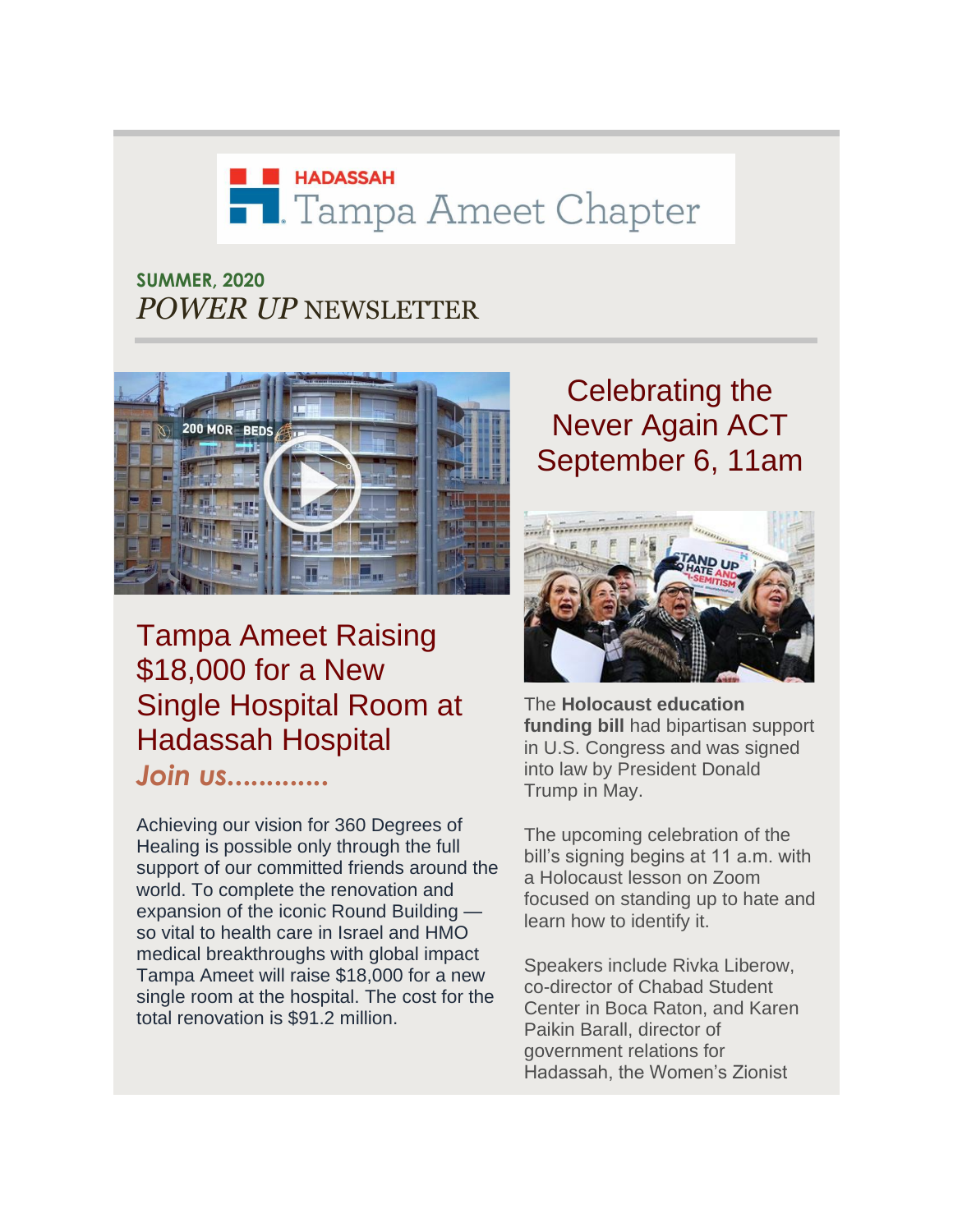# **EN HADASSAH T.** Tampa Ameet Chapter

#### **SUMMER, 2020** *POWER UP* NEWSLETTER



## Tampa Ameet Raising \$18,000 for a New Single Hospital Room at Hadassah Hospital *Join us.............*

Achieving our vision for 360 Degrees of Healing is possible only through the full support of our committed friends around the world. To complete the renovation and expansion of the iconic Round Building so vital to health care in Israel and HMO medical breakthroughs with global impact Tampa Ameet will raise \$18,000 for a new single room at the hospital. The cost for the total renovation is \$91.2 million.

# Celebrating the Never Again ACT September 6, 11am



The **[Holocaust education](http://r20.rs6.net/tn.jsp?f=001j3_aekG_OLdAHTjC_6qKIOvtbKFKGCpUiHcEE0PSLL84VFr7LTwc003CaTVjrTBwhu9C38VNXSUXnmngD1ueGIBe33mLIQ9WqR5Ru60Ffh_IczYp6ZNoMBjcNLepRvecVYK7sLqlVocL4Hus102308n14h3GIdSMbFAWIhx_KNc4_PTRIpZ4QB7f_QLJd2PNL3uty6FiZWCRrrrFLkSvsleZ3Uqs86c4&c=0oknQPy7XV3ga8bLn1h7RfwZQSQYf-4XNJ2ZkmkL1VRC5Qy9JQSBzA==&ch=W0Z9_wDP1B5n6HcazSPY5C7Obp28SfaUIMqYWiylt5dyAGsY9qoQcg==)  [funding bill](http://r20.rs6.net/tn.jsp?f=001j3_aekG_OLdAHTjC_6qKIOvtbKFKGCpUiHcEE0PSLL84VFr7LTwc003CaTVjrTBwhu9C38VNXSUXnmngD1ueGIBe33mLIQ9WqR5Ru60Ffh_IczYp6ZNoMBjcNLepRvecVYK7sLqlVocL4Hus102308n14h3GIdSMbFAWIhx_KNc4_PTRIpZ4QB7f_QLJd2PNL3uty6FiZWCRrrrFLkSvsleZ3Uqs86c4&c=0oknQPy7XV3ga8bLn1h7RfwZQSQYf-4XNJ2ZkmkL1VRC5Qy9JQSBzA==&ch=W0Z9_wDP1B5n6HcazSPY5C7Obp28SfaUIMqYWiylt5dyAGsY9qoQcg==)** had bipartisan support in U.S. Congress and was signed into law by President Donald Trump in May.

The upcoming celebration of the bill's signing begins at 11 a.m. with a Holocaust lesson on Zoom focused on standing up to hate and learn how to identify it.

Speakers include Rivka Liberow, co-director of Chabad Student Center in Boca Raton, and Karen Paikin Barall, director of government relations for Hadassah, the Women's Zionist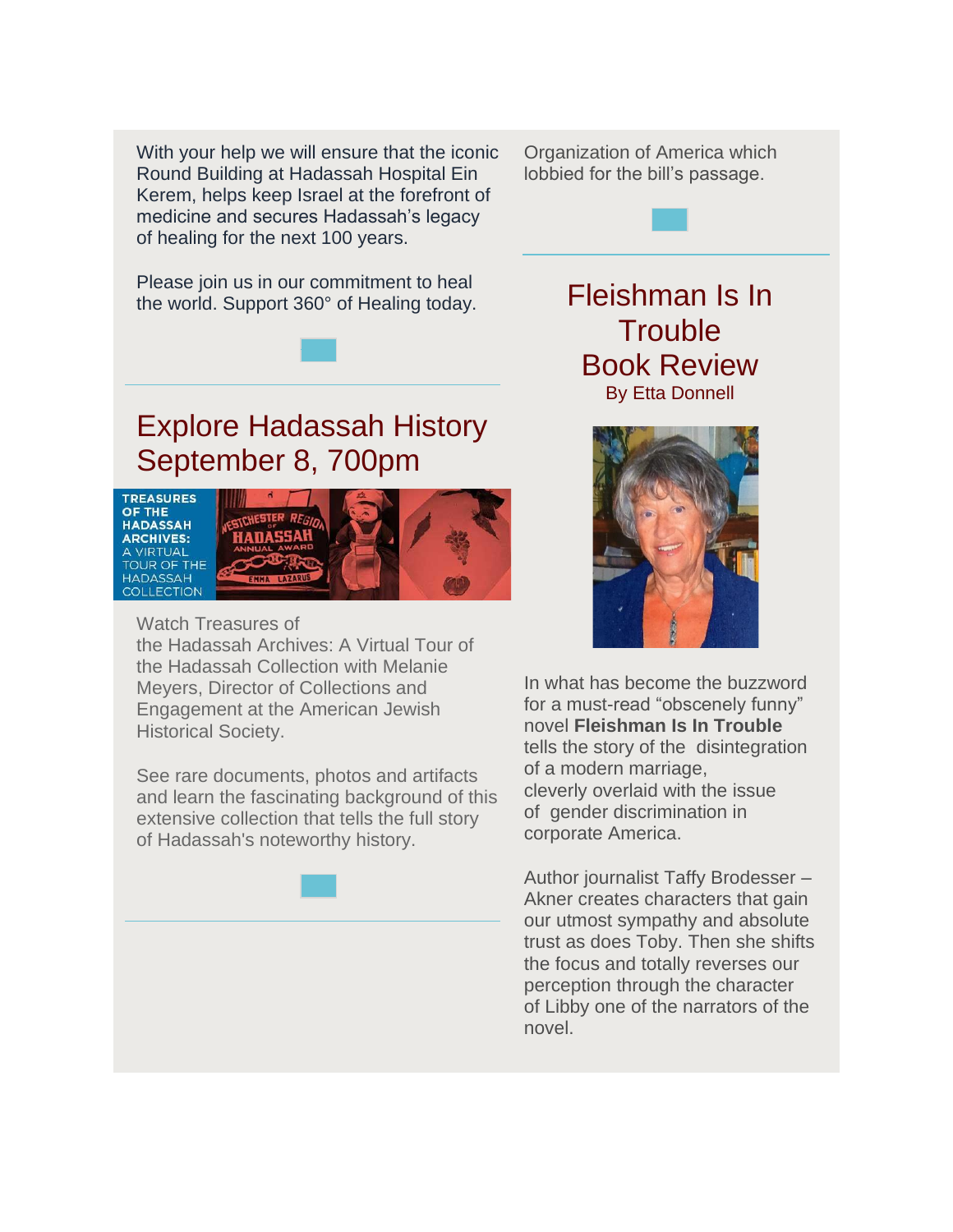With your help we will ensure that the iconic Round Building at Hadassah Hospital Ein Kerem, helps keep Israel at the forefront of medicine and secures Hadassah's legacy of healing for the next 100 years.

Organization of America which lobbied for the bill's passage.

Please join us in our commitment to heal the world. Support 360° of Healing today.

## Explore Hadassah History September 8, 700pm



Watch [Treasures of](http://r20.rs6.net/tn.jsp?f=001j3_aekG_OLdAHTjC_6qKIOvtbKFKGCpUiHcEE0PSLL84VFr7LTwc02rA1shaFFxfx1c5FB-Y6PbIyCtL24iKMHAc2xKHxhJnZ0Sf71hQiRn3mZFFpfVNZHhxr1BkKM6maiemvI9S6KlOHOsT2UcsfYji0DHGCQKpcPLT2VGpEfOT_5YW8B3CYLGnmmJoB8iR&c=0oknQPy7XV3ga8bLn1h7RfwZQSQYf-4XNJ2ZkmkL1VRC5Qy9JQSBzA==&ch=W0Z9_wDP1B5n6HcazSPY5C7Obp28SfaUIMqYWiylt5dyAGsY9qoQcg==)  the Hadassah [Archives: A Virtual Tour of](http://r20.rs6.net/tn.jsp?f=001j3_aekG_OLdAHTjC_6qKIOvtbKFKGCpUiHcEE0PSLL84VFr7LTwc02rA1shaFFxfx1c5FB-Y6PbIyCtL24iKMHAc2xKHxhJnZ0Sf71hQiRn3mZFFpfVNZHhxr1BkKM6maiemvI9S6KlOHOsT2UcsfYji0DHGCQKpcPLT2VGpEfOT_5YW8B3CYLGnmmJoB8iR&c=0oknQPy7XV3ga8bLn1h7RfwZQSQYf-4XNJ2ZkmkL1VRC5Qy9JQSBzA==&ch=W0Z9_wDP1B5n6HcazSPY5C7Obp28SfaUIMqYWiylt5dyAGsY9qoQcg==)  [the Hadassah Collection](http://r20.rs6.net/tn.jsp?f=001j3_aekG_OLdAHTjC_6qKIOvtbKFKGCpUiHcEE0PSLL84VFr7LTwc02rA1shaFFxfx1c5FB-Y6PbIyCtL24iKMHAc2xKHxhJnZ0Sf71hQiRn3mZFFpfVNZHhxr1BkKM6maiemvI9S6KlOHOsT2UcsfYji0DHGCQKpcPLT2VGpEfOT_5YW8B3CYLGnmmJoB8iR&c=0oknQPy7XV3ga8bLn1h7RfwZQSQYf-4XNJ2ZkmkL1VRC5Qy9JQSBzA==&ch=W0Z9_wDP1B5n6HcazSPY5C7Obp28SfaUIMqYWiylt5dyAGsY9qoQcg==) with Melanie Meyers, Director of Collections and Engagement at the American Jewish Historical Society.

See rare documents, photos and artifacts and learn the fascinating background of this extensive collection that tells the full story of Hadassah's noteworthy history.

Fleishman Is In **Trouble** Book Review By Etta Donnell



In what has become the buzzword for a must-read "obscenely funny" novel **Fleishman Is In Trouble** tells the story of the disintegration of a modern marriage, cleverly overlaid with the issue of gender discrimination in corporate America.

Author journalist Taffy Brodesser – Akner creates characters that gain our utmost sympathy and absolute trust as does Toby. Then she shifts the focus and totally reverses our perception through the character of Libby one of the narrators of the novel.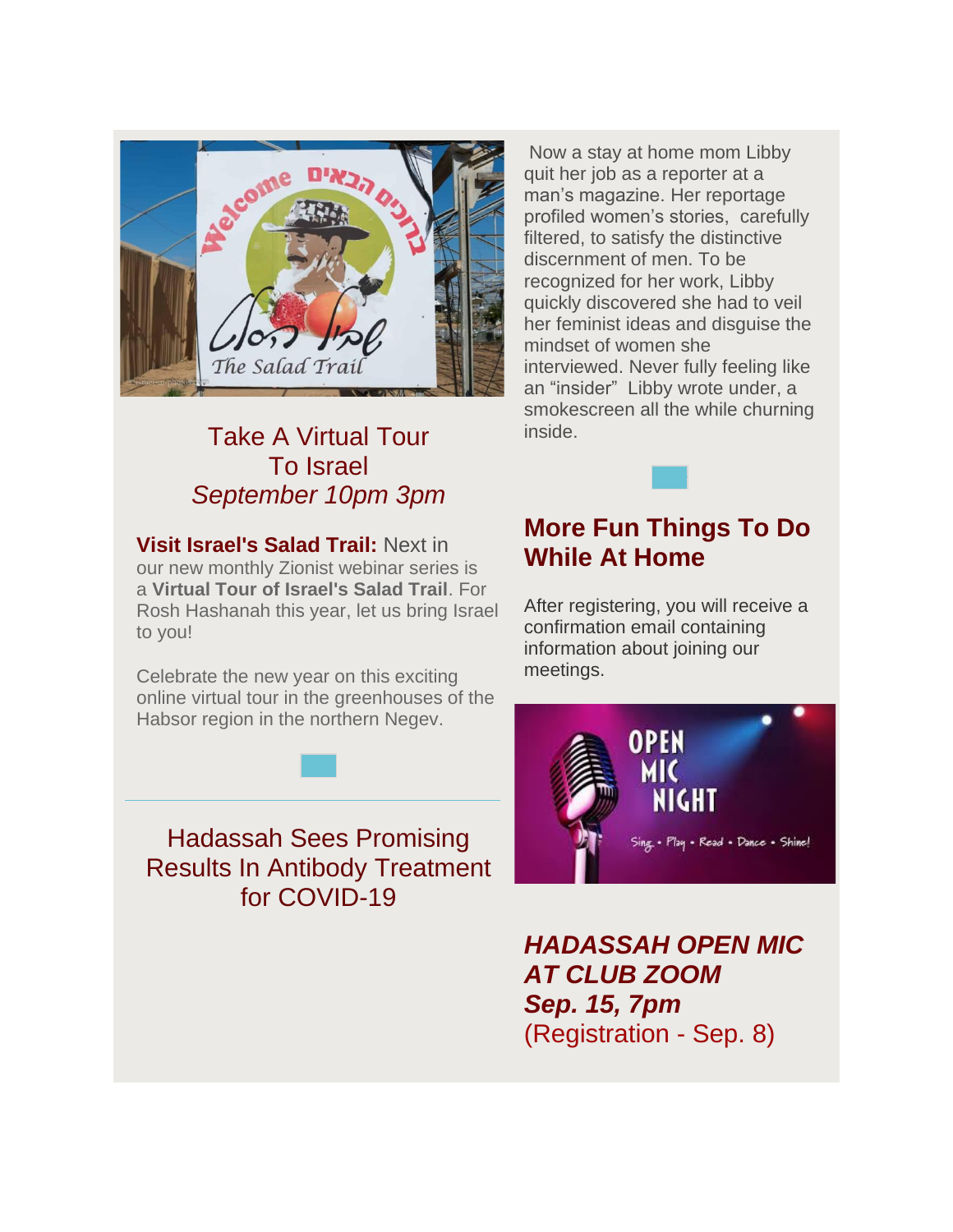

### Take A Virtual Tour To Israel *September 10pm 3pm*

**Visit Israel's Salad Trail:** Next in our new monthly Zionist webinar series is a **[Virtual Tour of Israel's Salad Trail](http://r20.rs6.net/tn.jsp?f=001j3_aekG_OLdAHTjC_6qKIOvtbKFKGCpUiHcEE0PSLL84VFr7LTwc003CaTVjrTBwVoGbX6y8sBUPSytyZ4cbWoXorDwKFBsGj67_oHYyn0ntlH1C_jwWfcCZvyIUNq-dgNeqPrPUONPzjiwHsNGGDcX7-vNwmMRHKLnrixOHDp56dkq0RGoVU1SFQS7uoGIn&c=0oknQPy7XV3ga8bLn1h7RfwZQSQYf-4XNJ2ZkmkL1VRC5Qy9JQSBzA==&ch=W0Z9_wDP1B5n6HcazSPY5C7Obp28SfaUIMqYWiylt5dyAGsY9qoQcg==)**. For Rosh Hashanah this year, let us bring Israel to you!

Celebrate the new year on this exciting online virtual tour in the greenhouses of the Habsor region in the northern Negev.

Hadassah Sees Promising Results In Antibody Treatment for COVID-19

Now a stay at home mom Libby quit her job as a reporter at a man's magazine. Her reportage profiled women's stories, carefully filtered, to satisfy the distinctive discernment of men. To be recognized for her work, Libby quickly discovered she had to veil her feminist ideas and disguise the mindset of women she interviewed. Never fully feeling like an "insider" Libby wrote under, a smokescreen all the while churning inside.

### **More Fun Things To Do While At Home**

After registering, you will receive a confirmation email containing information about joining our meetings.



*HADASSAH OPEN MIC AT CLUB ZOOM Sep. 15, 7pm* (Registration - Sep. 8)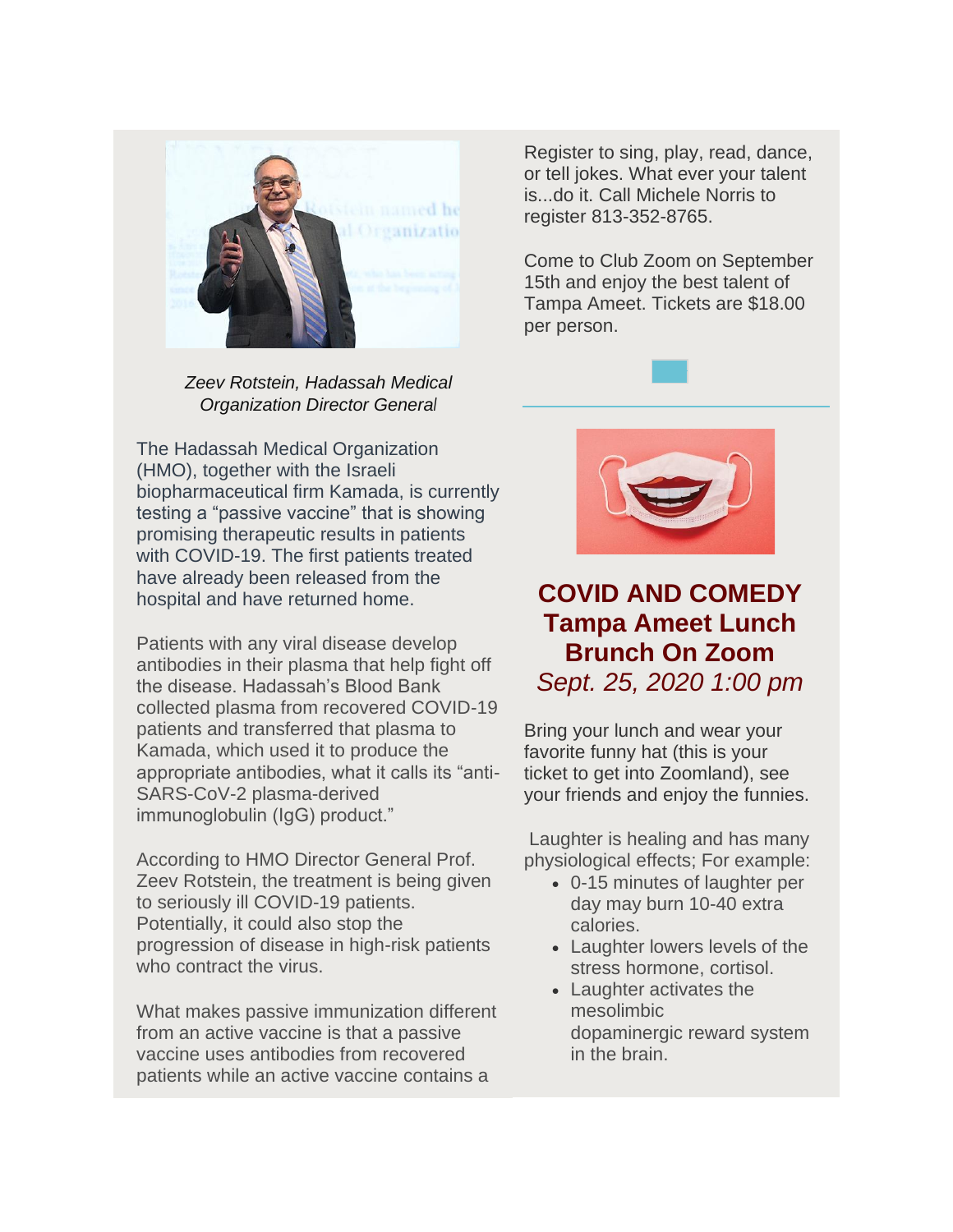

*Zeev Rotstein, Hadassah Medical Organization Director General*

The Hadassah Medical Organization (HMO), together with the Israeli biopharmaceutical firm Kamada, is currently testing a "passive vaccine" that is showing promising therapeutic results in patients with COVID-19. The first patients treated have already been released from the hospital and have returned home.

Patients with any viral disease develop antibodies in their plasma that help fight off the disease. Hadassah's Blood Bank collected plasma from recovered COVID-19 patients and transferred that plasma to Kamada, which used it to produce the appropriate antibodies, what it calls its "anti-SARS-CoV-2 plasma-derived immunoglobulin (IgG) product."

According to HMO Director General Prof. Zeev Rotstein, the treatment is being given to seriously ill COVID-19 patients. Potentially, it could also stop the progression of disease in high-risk patients who contract the virus.

What makes passive immunization different from an active vaccine is that a passive vaccine uses antibodies from recovered patients while an active vaccine contains a

Register to sing, play, read, dance, or tell jokes. What ever your talent is...do it. Call Michele Norris to register 813-352-8765.

Come to Club Zoom on September 15th and enjoy the best talent of Tampa Ameet. Tickets are \$18.00 per person.



### **COVID AND COMEDY Tampa Ameet Lunch Brunch On Zoom**  *Sept. 25, 2020 1:00 pm*

Bring your lunch and wear your favorite funny hat (this is your ticket to get into Zoomland), see your friends and enjoy the funnies.

Laughter is healing and has many physiological effects; For example:

- 0-15 minutes of laughter per day may burn 10-40 extra calories.
- Laughter lowers levels of the stress hormone, cortisol.
- Laughter activates the mesolimbic dopaminergic reward system in the brain.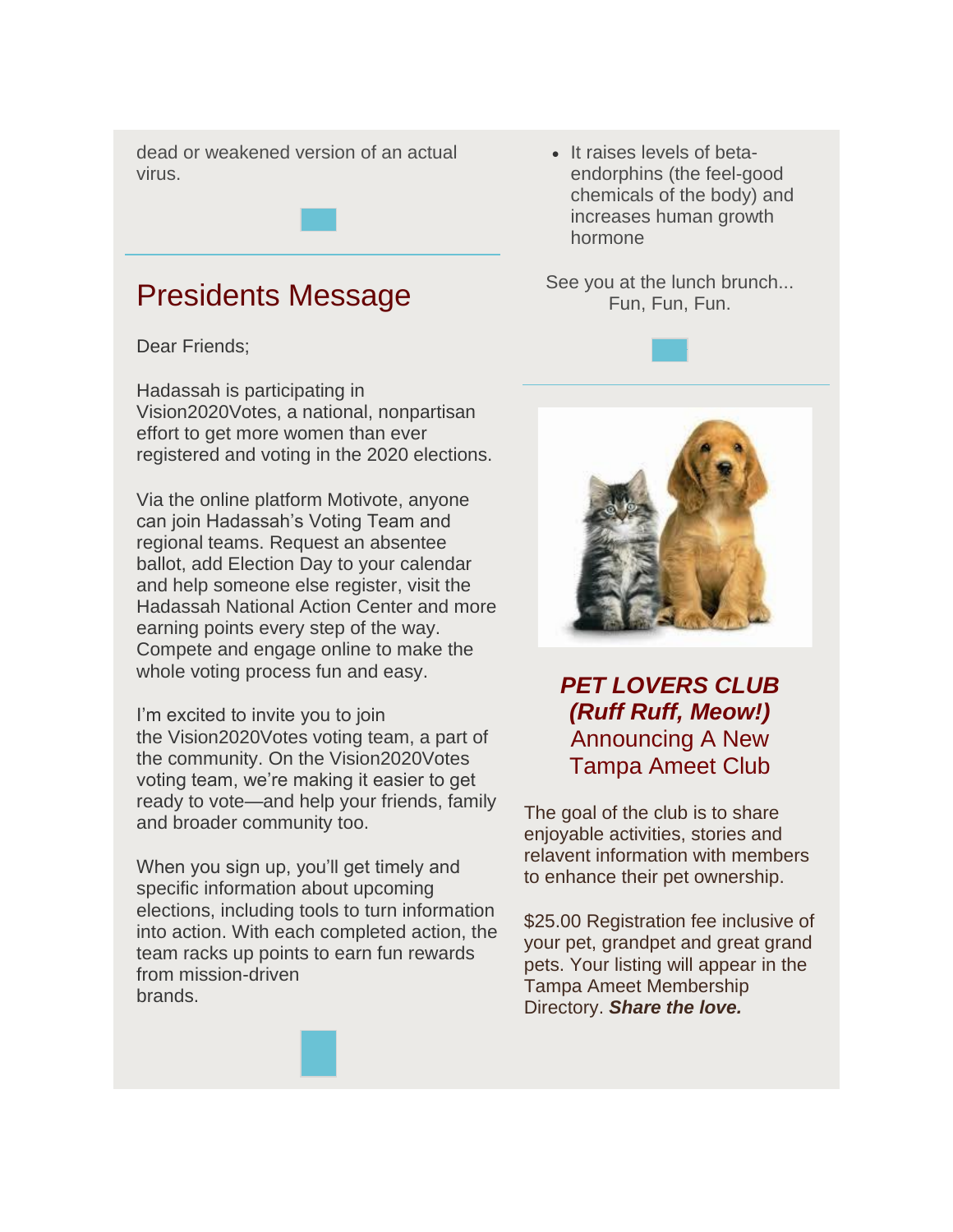dead or weakened version of an actual virus.

### Presidents Message

Dear Friends;

Hadassah is participating in Vision2020Votes, a national, nonpartisan effort to get more women than ever registered and voting in the 2020 elections.

Via the online platform Motivote, anyone can join Hadassah's Voting Team and regional teams. Request an absentee ballot, add Election Day to your calendar and help someone else register, visit the Hadassah National Action Center and more earning points every step of the way. Compete and engage online to make the whole voting process fun and easy.

I'm excited to invite you to join the Vision2020Votes voting team, a part of the community. On the Vision2020Votes voting team, we're making it easier to get ready to vote—and help your friends, family and broader community too.

When you sign up, you'll get timely and specific information about upcoming elections, including tools to turn information into action. With each completed action, the team racks up points to earn fun rewards from mission-driven brands.

• It raises levels of betaendorphins (the feel-good chemicals of the body) and increases human growth hormone

See you at the lunch brunch... Fun, Fun, Fun.





*PET LOVERS CLUB (Ruff Ruff, Meow!)* Announcing A New Tampa Ameet Club

The goal of the club is to share enjoyable activities, stories and relavent information with members to enhance their pet ownership.

\$25.00 Registration fee inclusive of your pet, grandpet and great grand pets. Your listing will appear in the Tampa Ameet Membership Directory. *Share the love.*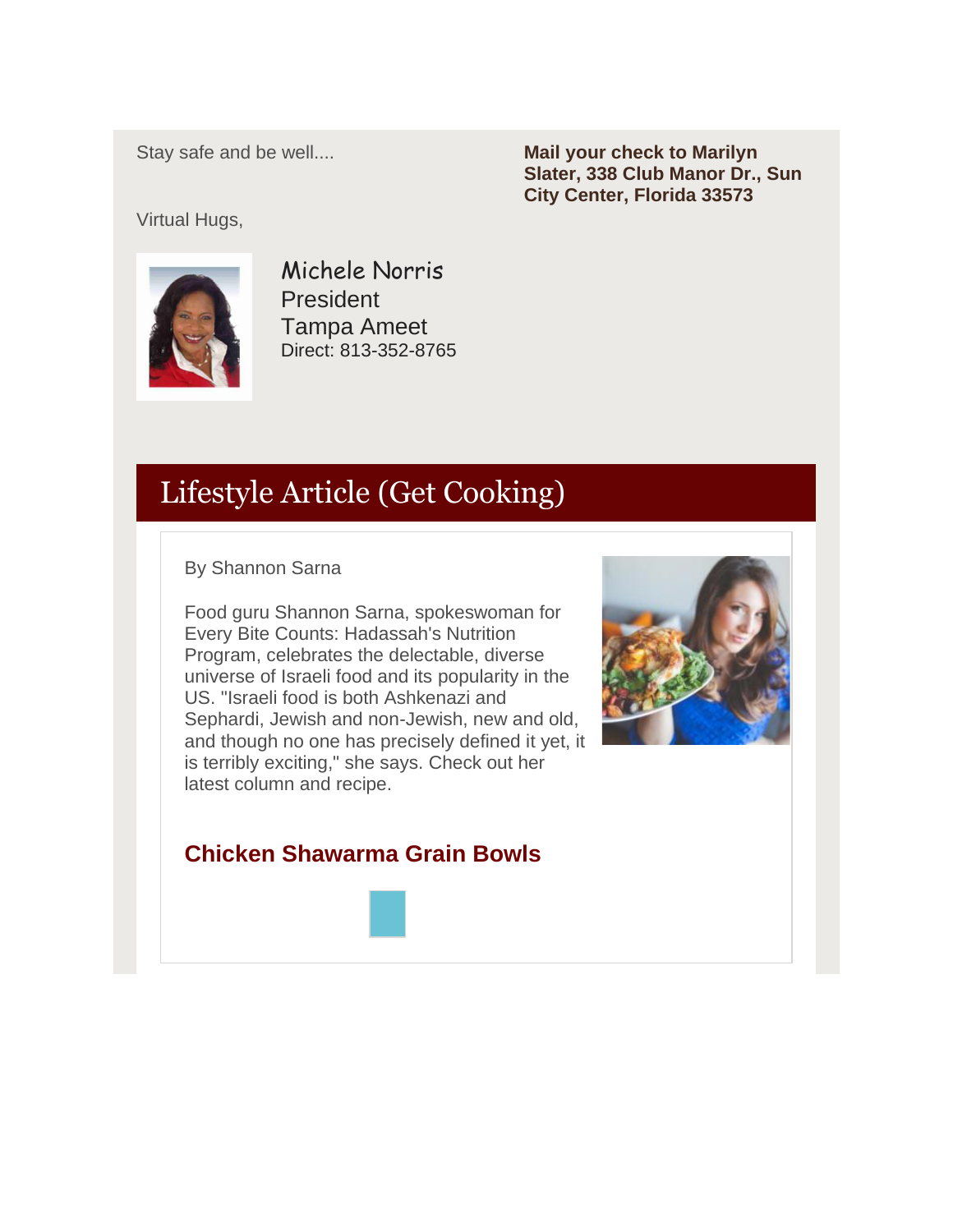Stay safe and be well....

**Mail your check to Marilyn Slater, 338 Club Manor Dr., Sun City Center, Florida 33573**

Virtual Hugs,



Michele Norris President Tampa Ameet Direct: 813-352-8765

# Lifestyle Article (Get Cooking)

By Shannon Sarna

Food guru Shannon Sarna, spokeswoman for Every Bite Counts: Hadassah's Nutrition Program, celebrates the delectable, diverse universe of Israeli food and its popularity in the US. "Israeli food is both Ashkenazi and Sephardi, Jewish and non-Jewish, new and old, and though no one has precisely defined it yet, it is terribly exciting," she says. Check out her latest column and recipe.



#### **Chicken Shawarma Grain Bowls**